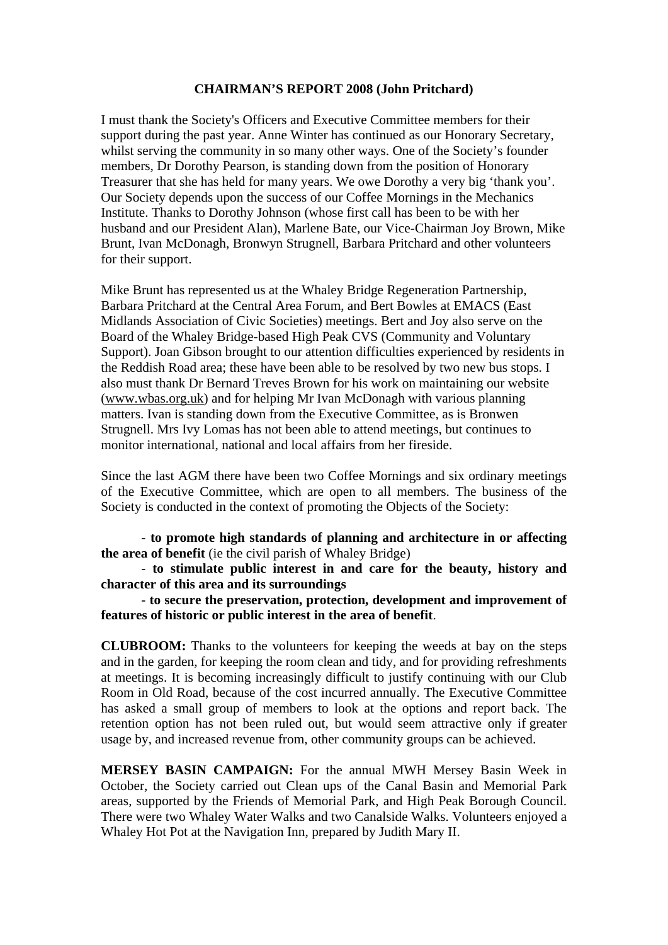## **CHAIRMAN'S REPORT 2008 (John Pritchard)**

I must thank the Society's Officers and Executive Committee members for their support during the past year. Anne Winter has continued as our Honorary Secretary, whilst serving the community in so many other ways. One of the Society's founder members, Dr Dorothy Pearson, is standing down from the position of Honorary Treasurer that she has held for many years. We owe Dorothy a very big 'thank you'. Our Society depends upon the success of our Coffee Mornings in the Mechanics Institute. Thanks to Dorothy Johnson (whose first call has been to be with her husband and our President Alan), Marlene Bate, our Vice-Chairman Joy Brown, Mike Brunt, Ivan McDonagh, Bronwyn Strugnell, Barbara Pritchard and other volunteers for their support.

Mike Brunt has represented us at the Whaley Bridge Regeneration Partnership, Barbara Pritchard at the Central Area Forum, and Bert Bowles at EMACS (East Midlands Association of Civic Societies) meetings. Bert and Joy also serve on the Board of the Whaley Bridge-based High Peak CVS (Community and Voluntary Support). Joan Gibson brought to our attention difficulties experienced by residents in the Reddish Road area; these have been able to be resolved by two new bus stops. I also must thank Dr Bernard Treves Brown for his work on maintaining our website (www.wbas.org.uk) and for helping Mr Ivan McDonagh with various planning matters. Ivan is standing down from the Executive Committee, as is Bronwen Strugnell. Mrs Ivy Lomas has not been able to attend meetings, but continues to monitor international, national and local affairs from her fireside.

Since the last AGM there have been two Coffee Mornings and six ordinary meetings of the Executive Committee, which are open to all members. The business of the Society is conducted in the context of promoting the Objects of the Society:

 - **to promote high standards of planning and architecture in or affecting the area of benefit** (ie the civil parish of Whaley Bridge)

 - **to stimulate public interest in and care for the beauty, history and character of this area and its surroundings** 

- **to secure the preservation, protection, development and improvement of features of historic or public interest in the area of benefit**.

**CLUBROOM:** Thanks to the volunteers for keeping the weeds at bay on the steps and in the garden, for keeping the room clean and tidy, and for providing refreshments at meetings. It is becoming increasingly difficult to justify continuing with our Club Room in Old Road, because of the cost incurred annually. The Executive Committee has asked a small group of members to look at the options and report back. The retention option has not been ruled out, but would seem attractive only if greater usage by, and increased revenue from, other community groups can be achieved.

**MERSEY BASIN CAMPAIGN:** For the annual MWH Mersey Basin Week in October, the Society carried out Clean ups of the Canal Basin and Memorial Park areas, supported by the Friends of Memorial Park, and High Peak Borough Council. There were two Whaley Water Walks and two Canalside Walks. Volunteers enjoyed a Whaley Hot Pot at the Navigation Inn, prepared by Judith Mary II.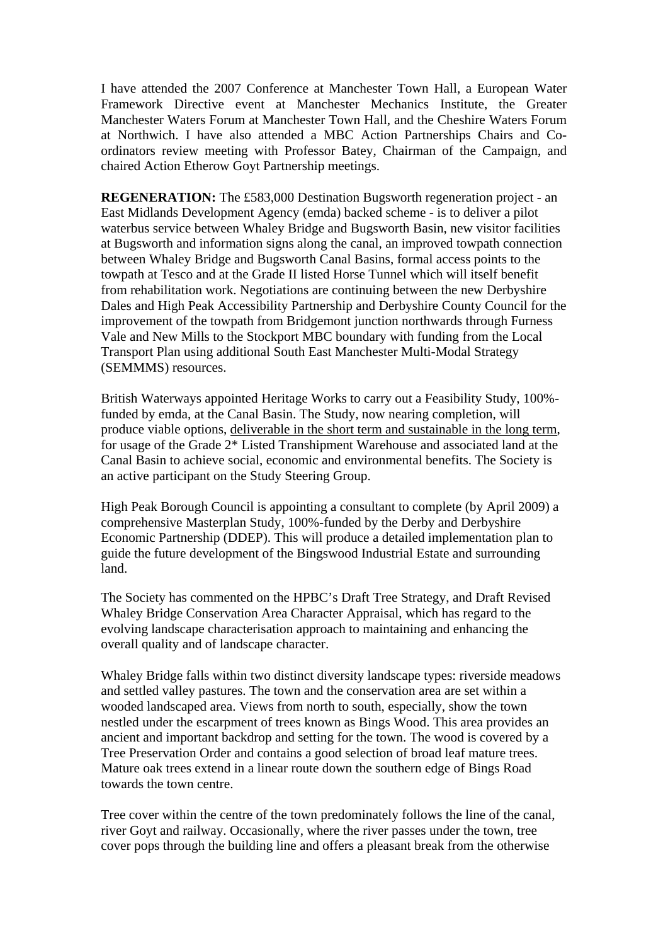I have attended the 2007 Conference at Manchester Town Hall, a European Water Framework Directive event at Manchester Mechanics Institute, the Greater Manchester Waters Forum at Manchester Town Hall, and the Cheshire Waters Forum at Northwich. I have also attended a MBC Action Partnerships Chairs and Coordinators review meeting with Professor Batey, Chairman of the Campaign, and chaired Action Etherow Goyt Partnership meetings.

**REGENERATION:** The £583,000 Destination Bugsworth regeneration project - an East Midlands Development Agency (emda) backed scheme - is to deliver a pilot waterbus service between Whaley Bridge and Bugsworth Basin, new visitor facilities at Bugsworth and information signs along the canal, an improved towpath connection between Whaley Bridge and Bugsworth Canal Basins, formal access points to the towpath at Tesco and at the Grade II listed Horse Tunnel which will itself benefit from rehabilitation work. Negotiations are continuing between the new Derbyshire Dales and High Peak Accessibility Partnership and Derbyshire County Council for the improvement of the towpath from Bridgemont junction northwards through Furness Vale and New Mills to the Stockport MBC boundary with funding from the Local Transport Plan using additional South East Manchester Multi-Modal Strategy (SEMMMS) resources.

British Waterways appointed Heritage Works to carry out a Feasibility Study, 100% funded by emda, at the Canal Basin. The Study, now nearing completion, will produce viable options, deliverable in the short term and sustainable in the long term, for usage of the Grade 2\* Listed Transhipment Warehouse and associated land at the Canal Basin to achieve social, economic and environmental benefits. The Society is an active participant on the Study Steering Group.

High Peak Borough Council is appointing a consultant to complete (by April 2009) a comprehensive Masterplan Study, 100%-funded by the [Derby and Derbyshire](http://www.ddep.co.uk/)  [Economic Partnership \(DDEP\).](http://www.ddep.co.uk/) This will produce a detailed implementation plan to guide the future development of the Bingswood Industrial Estate and surrounding land.

The Society has commented on the HPBC's Draft Tree Strategy, and Draft Revised Whaley Bridge Conservation Area Character Appraisal, which has regard to the evolving landscape characterisation approach to maintaining and enhancing the overall quality and of landscape character.

Whaley Bridge falls within two distinct diversity landscape types: riverside meadows and settled valley pastures. The town and the conservation area are set within a wooded landscaped area. Views from north to south, especially, show the town nestled under the escarpment of trees known as Bings Wood. This area provides an ancient and important backdrop and setting for the town. The wood is covered by a Tree Preservation Order and contains a good selection of broad leaf mature trees. Mature oak trees extend in a linear route down the southern edge of Bings Road towards the town centre.

Tree cover within the centre of the town predominately follows the line of the canal, river Goyt and railway. Occasionally, where the river passes under the town, tree cover pops through the building line and offers a pleasant break from the otherwise